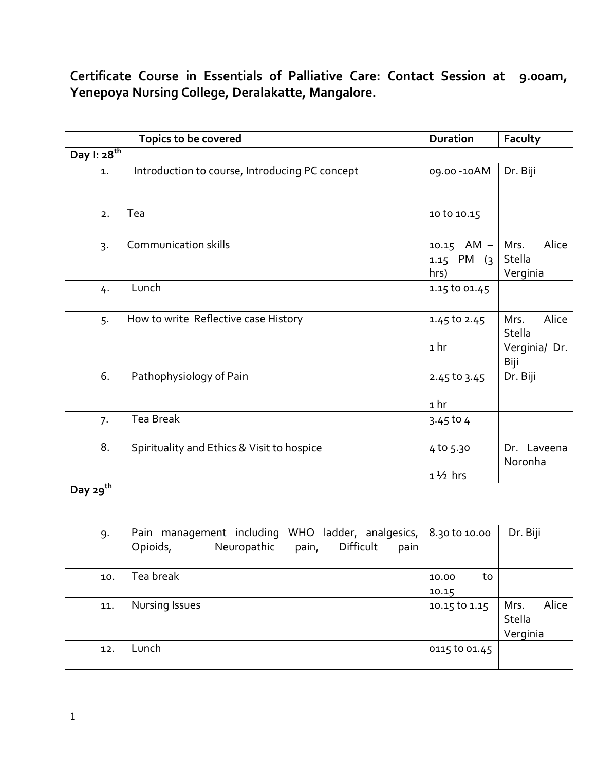| Certificate Course in Essentials of Palliative Care: Contact Session at<br>9.00am, |                                                                                                               |                                               |                                          |  |  |
|------------------------------------------------------------------------------------|---------------------------------------------------------------------------------------------------------------|-----------------------------------------------|------------------------------------------|--|--|
| Yenepoya Nursing College, Deralakatte, Mangalore.                                  |                                                                                                               |                                               |                                          |  |  |
|                                                                                    |                                                                                                               |                                               |                                          |  |  |
|                                                                                    | Topics to be covered                                                                                          | <b>Duration</b>                               | Faculty                                  |  |  |
| Day I: 28 <sup>th</sup>                                                            |                                                                                                               |                                               |                                          |  |  |
| 1.                                                                                 | Introduction to course, Introducing PC concept                                                                | 09.00 - 10AM                                  | Dr. Biji                                 |  |  |
| 2.                                                                                 | Tea                                                                                                           | 10 to 10.15                                   |                                          |  |  |
| 3.                                                                                 | <b>Communication skills</b>                                                                                   | 10.15 $AM - Mrs$ .<br>$1.15$ PM $(3)$<br>hrs) | Alice<br>Stella<br>Verginia              |  |  |
| 4.                                                                                 | Lunch                                                                                                         | 1.15 to 01.45                                 |                                          |  |  |
| 5.                                                                                 | How to write Reflective case History                                                                          | 1.45 to 2.45<br>1 hr                          | Alice<br>Mrs.<br>Stella<br>Verginia/ Dr. |  |  |
|                                                                                    |                                                                                                               |                                               | Biji                                     |  |  |
| 6.                                                                                 | Pathophysiology of Pain                                                                                       | 2.45 to 3.45                                  | Dr. Biji                                 |  |  |
|                                                                                    |                                                                                                               | 1 <sub>hr</sub>                               |                                          |  |  |
| 7.                                                                                 | <b>Tea Break</b>                                                                                              | $3.45$ to 4                                   |                                          |  |  |
| 8.                                                                                 | Spirituality and Ethics & Visit to hospice                                                                    | 4 to 5.30                                     | Dr. Laveena<br>Noronha                   |  |  |
|                                                                                    |                                                                                                               | $1\frac{1}{2}$ hrs                            |                                          |  |  |
| Day 29 <sup>th</sup>                                                               |                                                                                                               |                                               |                                          |  |  |
| 9.                                                                                 | WHO ladder, analgesics,<br>Pain management including<br>Neuropathic<br>Opioids,<br>Difficult<br>pain,<br>pain | 8.30 to 10.00                                 | Dr. Biji                                 |  |  |
| 10.                                                                                | Tea break                                                                                                     | to<br>10.00<br>10.15                          |                                          |  |  |
| 11.                                                                                | Nursing Issues                                                                                                | 10.15 to 1.15                                 | Alice<br>Mrs.<br>Stella<br>Verginia      |  |  |
| 12.                                                                                | Lunch                                                                                                         | 0115 to 01.45                                 |                                          |  |  |